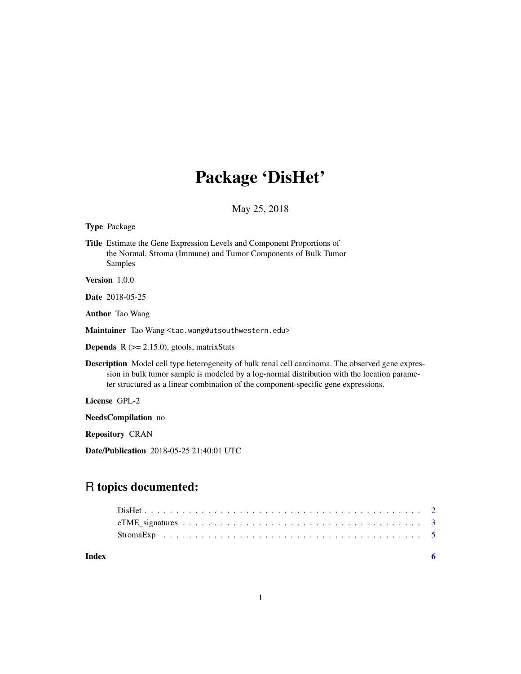## Package 'DisHet'

May 25, 2018

Type Package

Title Estimate the Gene Expression Levels and Component Proportions of the Normal, Stroma (Immune) and Tumor Components of Bulk Tumor Samples

Version 1.0.0

Date 2018-05-25

Author Tao Wang

Maintainer Tao Wang <tao.wang@utsouthwestern.edu>

**Depends** R  $(>= 2.15.0)$ , gtools, matrixStats

Description Model cell type heterogeneity of bulk renal cell carcinoma. The observed gene expression in bulk tumor sample is modeled by a log-normal distribution with the location parameter structured as a linear combination of the component-specific gene expressions.

License GPL-2

NeedsCompilation no

Repository CRAN

Date/Publication 2018-05-25 21:40:01 UTC

### R topics documented:

**Index** [6](#page-5-0) **6**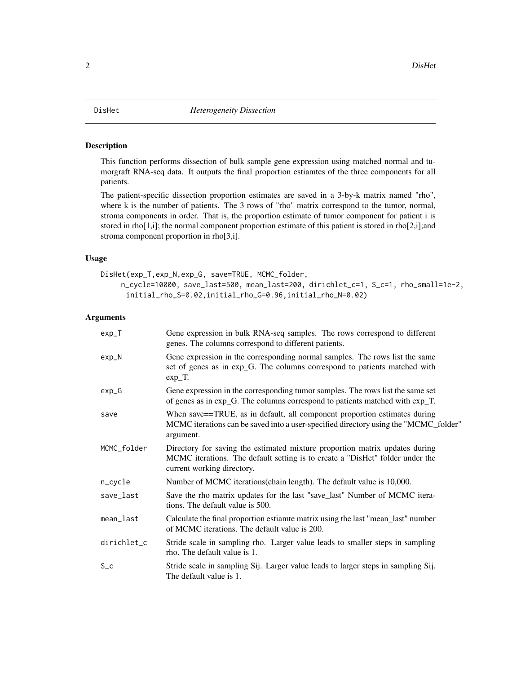<span id="page-1-0"></span>2 DisHet

#### Description

This function performs dissection of bulk sample gene expression using matched normal and tumorgraft RNA-seq data. It outputs the final proportion estiamtes of the three components for all patients.

The patient-specific dissection proportion estimates are saved in a 3-by-k matrix named "rho", where k is the number of patients. The 3 rows of "rho" matrix correspond to the tumor, normal, stroma components in order. That is, the proportion estimate of tumor component for patient i is stored in rho $[1,1]$ ; the normal component proportion estimate of this patient is stored in rho $[2,1]$ ;and stroma component proportion in rho[3,i].

#### Usage

```
DisHet(exp_T,exp_N,exp_G, save=TRUE, MCMC_folder,
    n_cycle=10000, save_last=500, mean_last=200, dirichlet_c=1, S_c=1, rho_small=1e-2,
     initial_rho_S=0.02,initial_rho_G=0.96,initial_rho_N=0.02)
```
#### **Arguments**

| $exp_T$     | Gene expression in bulk RNA-seq samples. The rows correspond to different<br>genes. The columns correspond to different patients.                                                          |
|-------------|--------------------------------------------------------------------------------------------------------------------------------------------------------------------------------------------|
| $exp_N$     | Gene expression in the corresponding normal samples. The rows list the same<br>set of genes as in exp_G. The columns correspond to patients matched with<br>$exp_T$ .                      |
| $exp_G$     | Gene expression in the corresponding tumor samples. The rows list the same set<br>of genes as in exp_G. The columns correspond to patients matched with exp_T.                             |
| save        | When save==TRUE, as in default, all component proportion estimates during<br>MCMC iterations can be saved into a user-specified directory using the "MCMC_folder"<br>argument.             |
| MCMC_folder | Directory for saving the estimated mixture proportion matrix updates during<br>MCMC iterations. The default setting is to create a "DisHet" folder under the<br>current working directory. |
| n_cycle     | Number of MCMC iterations (chain length). The default value is 10,000.                                                                                                                     |
| save_last   | Save the rho matrix updates for the last "save_last" Number of MCMC itera-<br>tions. The default value is 500.                                                                             |
| mean_last   | Calculate the final proportion estiamte matrix using the last "mean_last" number<br>of MCMC iterations. The default value is 200.                                                          |
| dirichlet_c | Stride scale in sampling rho. Larger value leads to smaller steps in sampling<br>rho. The default value is 1.                                                                              |
| $S_{C}$     | Stride scale in sampling Sij. Larger value leads to larger steps in sampling Sij.<br>The default value is 1.                                                                               |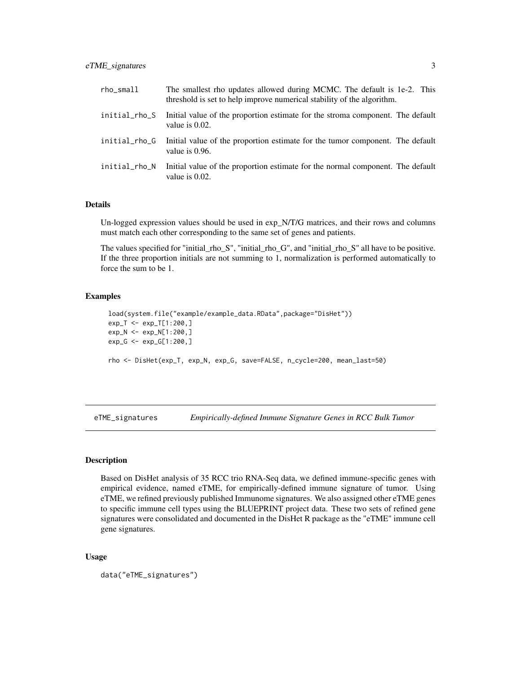<span id="page-2-0"></span>

| rho_small     | The smallest rho updates allowed during MCMC. The default is 1e-2. This<br>threshold is set to help improve numerical stability of the algorithm. |
|---------------|---------------------------------------------------------------------------------------------------------------------------------------------------|
| initial_rho_S | Initial value of the proportion estimate for the stroma component. The default<br>value is $0.02$ .                                               |
| initial_rho_G | Initial value of the proportion estimate for the tumor component. The default<br>value is $0.96$ .                                                |
| initial_rho_N | Initial value of the proportion estimate for the normal component. The default<br>value is $0.02$ .                                               |

#### Details

Un-logged expression values should be used in exp\_N/T/G matrices, and their rows and columns must match each other corresponding to the same set of genes and patients.

The values specified for "initial\_rho\_S", "initial\_rho\_G", and "initial\_rho\_S" all have to be positive. If the three proportion initials are not summing to 1, normalization is performed automatically to force the sum to be 1.

#### Examples

```
load(system.file("example/example_data.RData",package="DisHet"))
exp_T <- exp_T[1:200,]
exp_N <- exp_N[1:200,]
exp_G <- exp_G[1:200,]
rho <- DisHet(exp_T, exp_N, exp_G, save=FALSE, n_cycle=200, mean_last=50)
```
eTME\_signatures *Empirically-defined Immune Signature Genes in RCC Bulk Tumor*

#### Description

Based on DisHet analysis of 35 RCC trio RNA-Seq data, we defined immune-specific genes with empirical evidence, named eTME, for empirically-defined immune signature of tumor. Using eTME, we refined previously published Immunome signatures. We also assigned other eTME genes to specific immune cell types using the BLUEPRINT project data. These two sets of refined gene signatures were consolidated and documented in the DisHet R package as the "eTME" immune cell gene signatures.

#### Usage

```
data("eTME_signatures")
```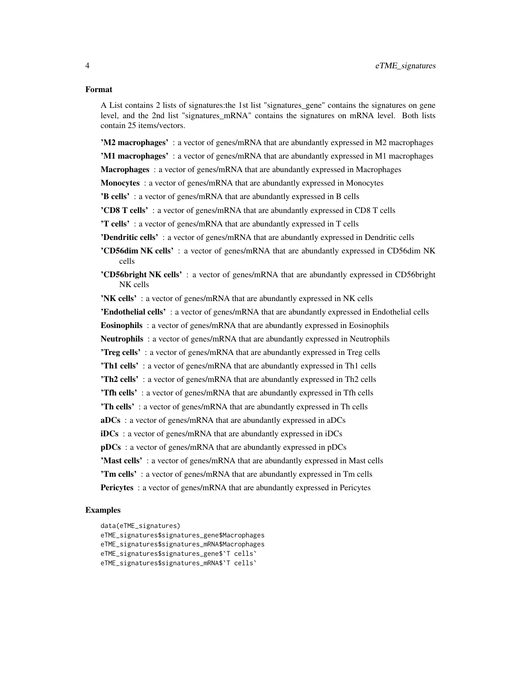#### Format

A List contains 2 lists of signatures:the 1st list "signatures\_gene" contains the signatures on gene level, and the 2nd list "signatures\_mRNA" contains the signatures on mRNA level. Both lists contain 25 items/vectors.

'M2 macrophages' : a vector of genes/mRNA that are abundantly expressed in M2 macrophages 'M1 macrophages' : a vector of genes/mRNA that are abundantly expressed in M1 macrophages

Macrophages : a vector of genes/mRNA that are abundantly expressed in Macrophages

Monocytes: a vector of genes/mRNA that are abundantly expressed in Monocytes

'B cells' : a vector of genes/mRNA that are abundantly expressed in B cells

'CD8 T cells' : a vector of genes/mRNA that are abundantly expressed in CD8 T cells

'T cells' : a vector of genes/mRNA that are abundantly expressed in T cells

'Dendritic cells' : a vector of genes/mRNA that are abundantly expressed in Dendritic cells

'CD56dim NK cells' : a vector of genes/mRNA that are abundantly expressed in CD56dim NK cells

'CD56bright NK cells' : a vector of genes/mRNA that are abundantly expressed in CD56bright NK cells

'NK cells' : a vector of genes/mRNA that are abundantly expressed in NK cells

'Endothelial cells' : a vector of genes/mRNA that are abundantly expressed in Endothelial cells

Eosinophils : a vector of genes/mRNA that are abundantly expressed in Eosinophils

**Neutrophils**: a vector of genes/mRNA that are abundantly expressed in Neutrophils

'Treg cells' : a vector of genes/mRNA that are abundantly expressed in Treg cells

'Th1 cells': a vector of genes/mRNA that are abundantly expressed in Th1 cells

'Th2 cells': a vector of genes/mRNA that are abundantly expressed in Th2 cells

'Tfh cells' : a vector of genes/mRNA that are abundantly expressed in Tfh cells

'Th cells' : a vector of genes/mRNA that are abundantly expressed in Th cells

aDCs : a vector of genes/mRNA that are abundantly expressed in aDCs

iDCs : a vector of genes/mRNA that are abundantly expressed in iDCs

pDCs : a vector of genes/mRNA that are abundantly expressed in pDCs

'Mast cells' : a vector of genes/mRNA that are abundantly expressed in Mast cells

'Tm cells' : a vector of genes/mRNA that are abundantly expressed in Tm cells

**Pericytes**: a vector of genes/mRNA that are abundantly expressed in Pericytes

#### Examples

data(eTME\_signatures)

eTME\_signatures\$signatures\_gene\$Macrophages

eTME\_signatures\$signatures\_mRNA\$Macrophages

eTME\_signatures\$signatures\_gene\$`T cells`

eTME\_signatures\$signatures\_mRNA\$`T cells`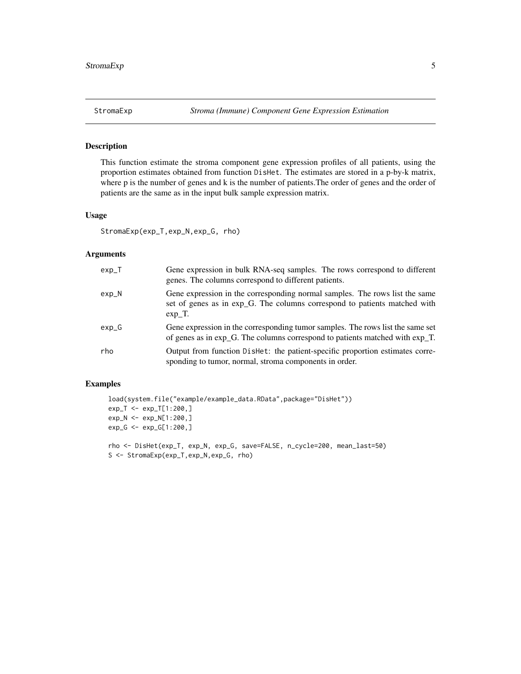<span id="page-4-0"></span>

#### Description

This function estimate the stroma component gene expression profiles of all patients, using the proportion estimates obtained from function DisHet. The estimates are stored in a p-by-k matrix, where p is the number of genes and k is the number of patients.The order of genes and the order of patients are the same as in the input bulk sample expression matrix.

#### Usage

```
StromaExp(exp_T,exp_N,exp_G, rho)
```
#### Arguments

| $exp_T$ | Gene expression in bulk RNA-seq samples. The rows correspond to different<br>genes. The columns correspond to different patients.                                                    |
|---------|--------------------------------------------------------------------------------------------------------------------------------------------------------------------------------------|
| $exp_N$ | Gene expression in the corresponding normal samples. The rows list the same<br>set of genes as in exp <sub>core</sub> . The columns correspond to patients matched with<br>$exp T$ . |
| $exp_G$ | Gene expression in the corresponding tumor samples. The rows list the same set<br>of genes as in $exp_G$ . The columns correspond to patients matched with $exp_T$ .                 |
| rho     | Output from function Dishet: the patient-specific proportion estimates corre-<br>sponding to tumor, normal, stroma components in order.                                              |

#### Examples

```
load(system.file("example/example_data.RData",package="DisHet"))
exp_T <- exp_T[1:200,]
exp_N <- exp_N[1:200,]
exp_G <- exp_G[1:200,]
rho <- DisHet(exp_T, exp_N, exp_G, save=FALSE, n_cycle=200, mean_last=50)
S <- StromaExp(exp_T,exp_N,exp_G, rho)
```